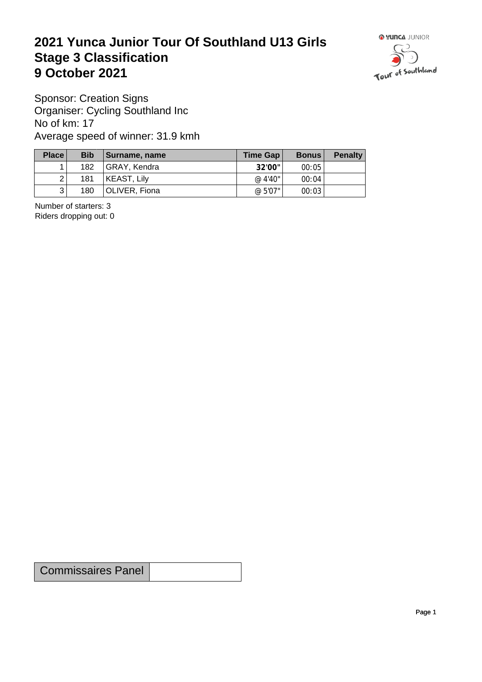## **2021 Yunca Junior Tour Of Southland U13 Girls** Stage 3 Classification<br>9 October 2021 **9 October 2021**



Sponsor: Creation Signs Organiser: Cycling Southland Inc No of km: 17 Average speed of winner: 31.9 kmh

| Place          | <b>Bib</b> | Surname, name        | Time Gap $ $ | <b>Bonus</b> | <b>Penalty</b> |
|----------------|------------|----------------------|--------------|--------------|----------------|
|                | 182        | GRAY, Kendra         | 32'00"       | 00:05        |                |
| $\overline{2}$ | 181        | KEAST, Lily          | @ $4'40''$   | 00:04        |                |
| 3              | 180        | <b>OLIVER, Fiona</b> | @ 5'07"      | 00:03        |                |

Number of starters: 3 Riders dropping out: 0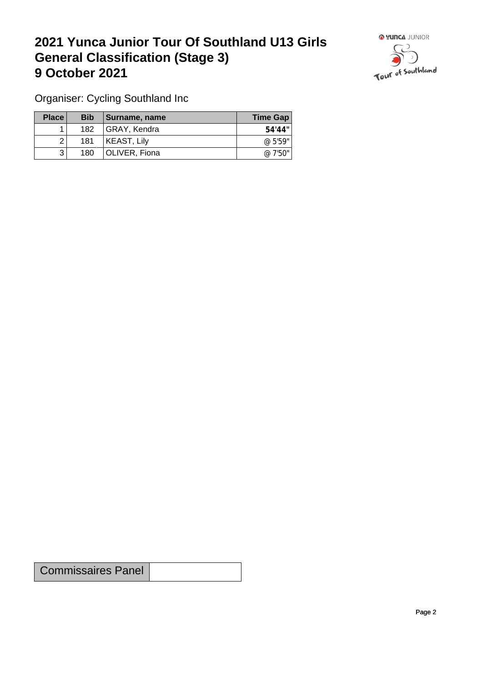## **2021 Yunca Junior Tour Of Southland U13 Girls General Classification (Stage 3)**<br> **9 October 2021 9 October 2021**



Organiser: Cycling Southland Inc

| Place | <b>Bib</b> | <b>∣Surname, name</b> | Time Gap |
|-------|------------|-----------------------|----------|
|       | 182        | GRAY, Kendra          | 54'44"   |
|       | 181        | KEAST, Lily           | @ 5'59"  |
| ર     | 180        | OLIVER, Fiona         | @ 7'50"  |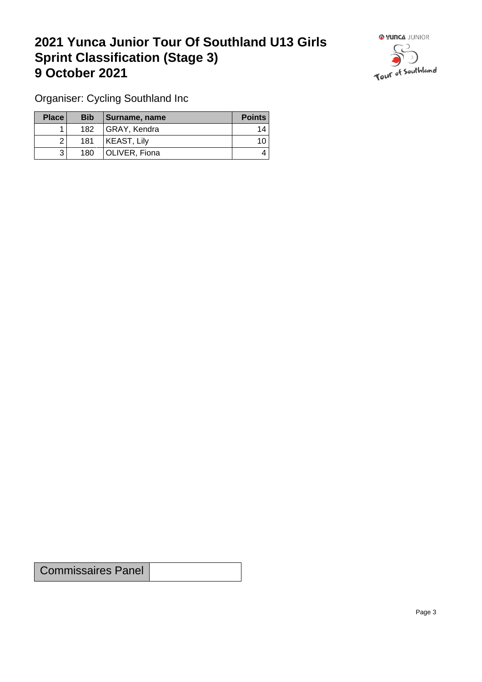## **2021 Yunca Junior Tour Of Southland U13 Girls Sprint Classification (Stage 3) 9 October 2021 19 October 2021**



Organiser: Cycling Southland Inc

| Place        | <b>Bib</b> | Surname, name | <b>Points</b>   |
|--------------|------------|---------------|-----------------|
|              | 182        | GRAY, Kendra  | 14.             |
|              | 181        | KEAST, Lily   | 10 <sub>1</sub> |
| $\mathbf{r}$ | 180        | OLIVER, Fiona | 4               |